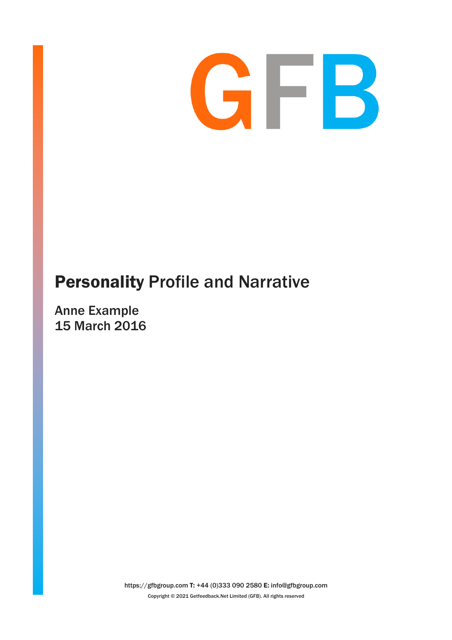

# Personality Profile and Narrative

Anne Example 15 March 2016

> https://gfbgroup.com T: +44 (0)333 090 2580 E: info@gfbgroup.com Copyright © 2021 Getfeedback.Net Limited (GFB). All rights reserved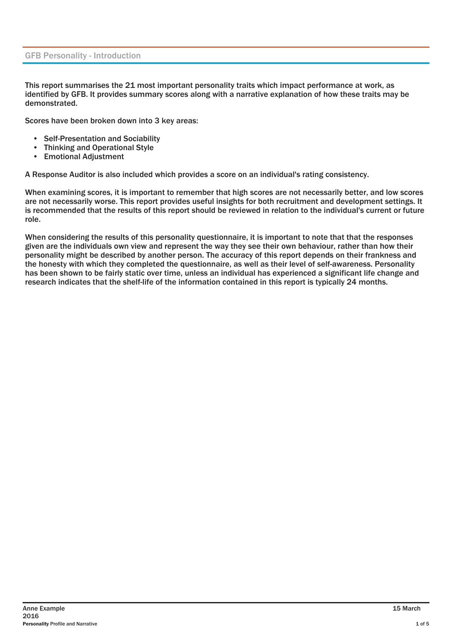### GFB Personality - Introduction

This report summarises the 21 most important personality traits which impact performance at work, as identified by GFB. It provides summary scores along with a narrative explanation of how these traits may be demonstrated.

Scores have been broken down into 3 key areas:

- Self-Presentation and Sociability
- Thinking and Operational Style<br>• Emotional Adjustment
- Emotional Adjustment

A Response Auditor is also included which provides a score on an individual's rating consistency.

When examining scores, it is important to remember that high scores are not necessarily better, and low scores are not necessarily worse. This report provides useful insights for both recruitment and development settings. It is recommended that the results of this report should be reviewed in relation to the individual's current or future role.

When considering the results of this personality questionnaire, it is important to note that that the responses given are the individuals own view and represent the way they see their own behaviour, rather than how their personality might be described by another person. The accuracy of this report depends on their frankness and the honesty with which they completed the questionnaire, as well as their level of self-awareness. Personality has been shown to be fairly static over time, unless an individual has experienced a significant life change and research indicates that the shelf-life of the information contained in this report is typically 24 months.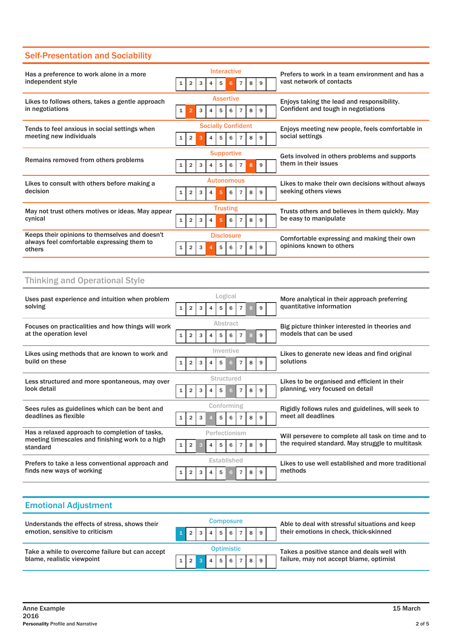# Self-Presentation and Sociability

| Has a preference to work alone in a more                                                               |              |                |   |   | Interactive               |   |                |   |   |  | Prefers to work in a team environment and has a                          |  |  |  |
|--------------------------------------------------------------------------------------------------------|--------------|----------------|---|---|---------------------------|---|----------------|---|---|--|--------------------------------------------------------------------------|--|--|--|
| independent style                                                                                      |              | $\overline{2}$ | 3 |   | 5                         | 6 |                | 8 |   |  | vast network of contacts                                                 |  |  |  |
| Likes to follows others, takes a gentle approach                                                       |              |                |   |   | <b>Assertive</b>          |   |                |   |   |  | Enjoys taking the lead and responsibility.                               |  |  |  |
| in negotiations                                                                                        | $\mathbf{1}$ | 2              | 3 |   | 5                         | 6 |                | 8 |   |  | Confident and tough in negotiations                                      |  |  |  |
| Tends to feel anxious in social settings when                                                          |              |                |   |   | <b>Socially Confident</b> |   |                |   |   |  | Enjoys meeting new people, feels comfortable in                          |  |  |  |
| meeting new individuals                                                                                |              | $\overline{2}$ | 3 |   | 5                         |   |                | 8 | 9 |  | social settings                                                          |  |  |  |
| Remains removed from others problems                                                                   |              |                |   |   | <b>Supportive</b>         |   |                |   |   |  | Gets involved in others problems and supports                            |  |  |  |
|                                                                                                        |              | $\overline{2}$ | 3 |   | 5                         | 6 |                |   |   |  | them in their issues                                                     |  |  |  |
| Likes to consult with others before making a                                                           |              |                |   |   | <b>Autonomous</b>         |   |                |   |   |  | Likes to make their own decisions without always<br>seeking others views |  |  |  |
| decision                                                                                               |              | $\overline{2}$ | 3 |   |                           | 6 |                | 8 |   |  |                                                                          |  |  |  |
| May not trust others motives or ideas. May appear                                                      |              |                |   |   | <b>Trusting</b>           |   |                |   |   |  | Trusts others and believes in them quickly. May                          |  |  |  |
| cynical                                                                                                | $\mathbf{1}$ | $\overline{2}$ | 3 | 4 | 5                         | 6 | $\overline{7}$ | 8 | q |  | be easy to manipulate                                                    |  |  |  |
| Keeps their opinions to themselves and doesn't<br>always feel comfortable expressing them to<br>others |              |                |   |   | <b>Disclosure</b>         |   |                |   |   |  | Comfortable expressing and making their own                              |  |  |  |
|                                                                                                        |              | $\overline{2}$ | 3 |   | 5                         | 6 |                | 8 | q |  | opinions known to others                                                 |  |  |  |

## Thinking and Operational Style

| Uses past experience and intuition when problem             |                |                |   |               |      | Logical        |                |   |   | More analytical in their approach preferring       |  |  |
|-------------------------------------------------------------|----------------|----------------|---|---------------|------|----------------|----------------|---|---|----------------------------------------------------|--|--|
| solving                                                     | $1 \vert$      | $\overline{2}$ | 3 |               | 5    | 6              |                |   | 9 | quantitative information                           |  |  |
| Focuses on practicalities and how things will work          |                |                |   |               |      | Abstract       |                |   |   | Big picture thinker interested in theories and     |  |  |
| at the operation level                                      | $1\vert$       | $\overline{2}$ | 3 |               | 5    | 6              |                | 8 |   | models that can be used                            |  |  |
| Likes using methods that are known to work and              |                |                |   |               |      | Inventive      |                |   |   | Likes to generate new ideas and find original      |  |  |
| build on these                                              | 1 <sup>1</sup> | $\overline{2}$ | 3 | 4             | $-5$ | 6 <sup>1</sup> | - 7 I          | 8 | 9 | solutions                                          |  |  |
| Less structured and more spontaneous, may over              |                |                |   |               |      | Structured     |                |   |   | Likes to be organised and efficient in their       |  |  |
| look detail                                                 | $1\vert$       | $\overline{2}$ | з |               | 5    | 6              | $\overline{7}$ | 8 | a | planning, very focused on detail                   |  |  |
| Sees rules as guidelines which can be bent and              |                |                |   |               |      | Conforming     |                |   |   | Rigidly follows rules and guidelines, will seek to |  |  |
| deadlines as flexible                                       | $1\vert$       | $\overline{2}$ |   |               | 5    | 6              |                | 8 |   | meet all deadlines                                 |  |  |
| Has a relaxed approach to completion of tasks,              |                |                |   | Perfectionism |      |                |                |   |   | Will persevere to complete all task on time and to |  |  |
| meeting timescales and finishing work to a high<br>standard | 1 <sup>1</sup> | $\overline{2}$ |   |               | 5    | 6              |                | 8 | q | the required standard. May struggle to multitask   |  |  |
| Prefers to take a less conventional approach and            |                |                |   |               |      | Established    |                |   |   | Likes to use well established and more traditional |  |  |
| finds new ways of working                                   | $\mathbf{1}$   | 2              |   |               | 5    | 6              |                |   |   | methods                                            |  |  |

| <b>Emotional Adjustment</b>                                                   |                   |                 |      |     |       |                  |  |     |  |  |                                                 |  |  |
|-------------------------------------------------------------------------------|-------------------|-----------------|------|-----|-------|------------------|--|-----|--|--|-------------------------------------------------|--|--|
| Understands the effects of stress, shows their                                |                   |                 |      |     |       | <b>Composure</b> |  |     |  |  | Able to deal with stressful situations and keep |  |  |
| emotion, sensitive to criticism                                               |                   |                 |      | 4 I |       | 56789            |  |     |  |  | their emotions in check, thick-skinned          |  |  |
| Take a while to overcome failure but can accept<br>blame, realistic viewpoint | <b>Optimistic</b> |                 |      |     |       |                  |  |     |  |  | Takes a positive stance and deals well with     |  |  |
|                                                                               |                   | $1 \mid 2 \mid$ | l 3' | 4   | - 5 I | 6 <sup>1</sup>   |  | 789 |  |  | failure, may not accept blame, optimist         |  |  |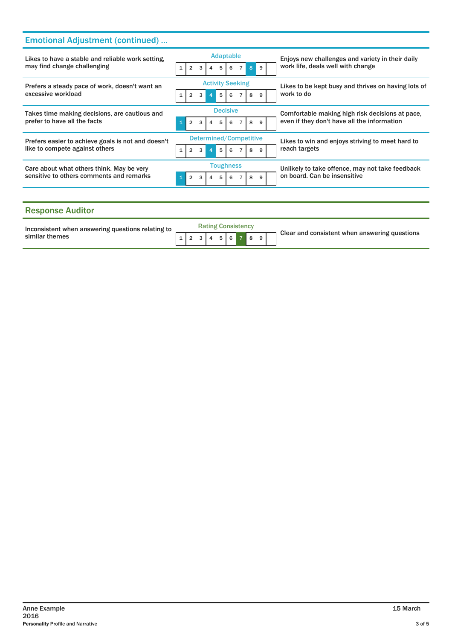# Emotional Adjustment (continued) ...

| Likes to have a stable and reliable work setting.<br>may find change challenging      | <b>Adaptable</b><br>$\mathbf{1}$                      | Enjoys new challenges and variety in their daily<br>work life, deals well with change          |
|---------------------------------------------------------------------------------------|-------------------------------------------------------|------------------------------------------------------------------------------------------------|
| Prefers a steady pace of work, doesn't want an<br>excessive workload                  | <b>Activity Seeking</b><br>1<br>5<br>q                | Likes to be kept busy and thrives on having lots of<br>work to do                              |
| Takes time making decisions, are cautious and<br>prefer to have all the facts         | <b>Decisive</b><br>5<br>8<br>6<br>a                   | Comfortable making high risk decisions at pace,<br>even if they don't have all the information |
| Prefers easier to achieve goals is not and doesn't<br>like to compete against others  | Determined/Competitive<br>$\mathbf{1}$<br>3<br>5<br>2 | Likes to win and enjoys striving to meet hard to<br>reach targets                              |
| Care about what others think. May be very<br>sensitive to others comments and remarks | <b>Toughness</b><br>$\overline{2}$<br>5<br>8<br>6     | Unlikely to take offence, may not take feedback<br>on board. Can be insensitive                |
|                                                                                       |                                                       |                                                                                                |

## Response Auditor

| Inconsistent when answering questions relating to<br>similar themes |  |  |  | <b>Rating Consistency</b> |  |  | Clear and consistent when answering questions |
|---------------------------------------------------------------------|--|--|--|---------------------------|--|--|-----------------------------------------------|
|                                                                     |  |  |  | 123456789                 |  |  |                                               |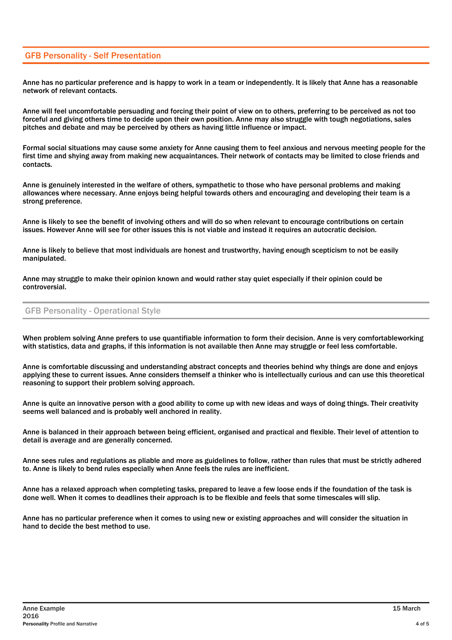## GFB Personality - Self Presentation

Anne has no particular preference and is happy to work in a team or independently. It is likely that Anne has a reasonable network of relevant contacts.

Anne will feel uncomfortable persuading and forcing their point of view on to others, preferring to be perceived as not too forceful and giving others time to decide upon their own position. Anne may also struggle with tough negotiations, sales pitches and debate and may be perceived by others as having little influence or impact.

Formal social situations may cause some anxiety for Anne causing them to feel anxious and nervous meeting people for the first time and shying away from making new acquaintances. Their network of contacts may be limited to close friends and contacts.

Anne is genuinely interested in the welfare of others, sympathetic to those who have personal problems and making allowances where necessary. Anne enjoys being helpful towards others and encouraging and developing their team is a strong preference.

Anne is likely to see the benefit of involving others and will do so when relevant to encourage contributions on certain issues. However Anne will see for other issues this is not viable and instead it requires an autocratic decision.

Anne is likely to believe that most individuals are honest and trustworthy, having enough scepticism to not be easily manipulated.

Anne may struggle to make their opinion known and would rather stay quiet especially if their opinion could be controversial.

#### GFB Personality - Operational Style

When problem solving Anne prefers to use quantifiable information to form their decision. Anne is very comfortableworking with statistics, data and graphs, if this information is not available then Anne may struggle or feel less comfortable.

Anne is comfortable discussing and understanding abstract concepts and theories behind why things are done and enjoys applying these to current issues. Anne considers themself a thinker who is intellectually curious and can use this theoretical reasoning to support their problem solving approach.

Anne is quite an innovative person with a good ability to come up with new ideas and ways of doing things. Their creativity seems well balanced and is probably well anchored in reality.

Anne is balanced in their approach between being efficient, organised and practical and flexible. Their level of attention to detail is average and are generally concerned.

Anne sees rules and regulations as pliable and more as guidelines to follow, rather than rules that must be strictly adhered to. Anne is likely to bend rules especially when Anne feels the rules are inefficient.

Anne has a relaxed approach when completing tasks, prepared to leave a few loose ends if the foundation of the task is done well. When it comes to deadlines their approach is to be flexible and feels that some timescales will slip.

Anne has no particular preference when it comes to using new or existing approaches and will consider the situation in hand to decide the best method to use.